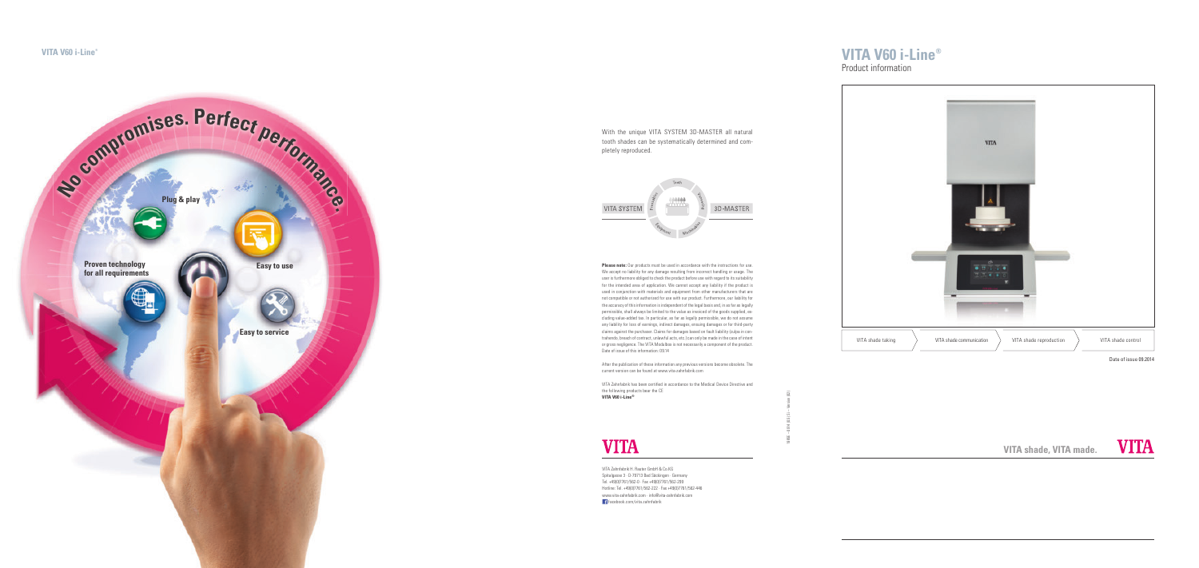# **VITA V60 i-Line®**

**VITA shade, VITA made.**



Date of issue 09.2014

## Product information

1985E – 0914 (0.5) Si – Version (02)



With the unique VITA SYSTEM 3D-MASTER all natural tooth shades can be systematically determined and completely reproduced.



VITA Zahnfabrik has been certified in accordance to the Medical Device Directive and the following products bear the CE **VITA V60 i-Line®**

**Please note:** Our products must be used in accordance with the instructions for use. We accept no liability for any damage resulting from incorrect handling or usage. The user is furthermore obliged to check the product before use with regard to its suitability for the intended area of application. We cannot accept any liability if the product is used in conjunction with materials and equipment from other manufacturers that are not compatible or not authorized for use with our product. Furthermore, our liability for the accuracy of this information is independent of the legal basis and, in as far as legally permissible, shall always be limited to the value as invoiced of the goods supplied, excluding value-added tax. In particular, as far as legally permissible, we do not assume any liability for loss of earnings, indirect damages, ensuing damages or for third-party claims against the purchaser. Claims for damages based on fault liability (culpa in contrahendo, breach of contract, unlawful acts, etc.) can only be made in the case of intent or gross negligence. The VITA Modulbox is not necessarily a component of the product. Date of issue of this information: 09.14 After the publication of these information any previous versions become obsolete. The current version can be found at www.vita-zahnfabrik.com

VITA Zahnfabrik H. Rauter GmbH & Co.KG Spitalgasse 3 · D-79713 Bad Säckingen · Germany Tel. +49(0)7761/562-0 · Fax +49(0)7761/562-299 Hotline: Tel. +49(0)7761/562-222 · Fax +49(0)7761/562-446 www.vita-zahnfabrik.com · info@vita-zahnfabrik.com

facebook.com/vita.zahnfabrik